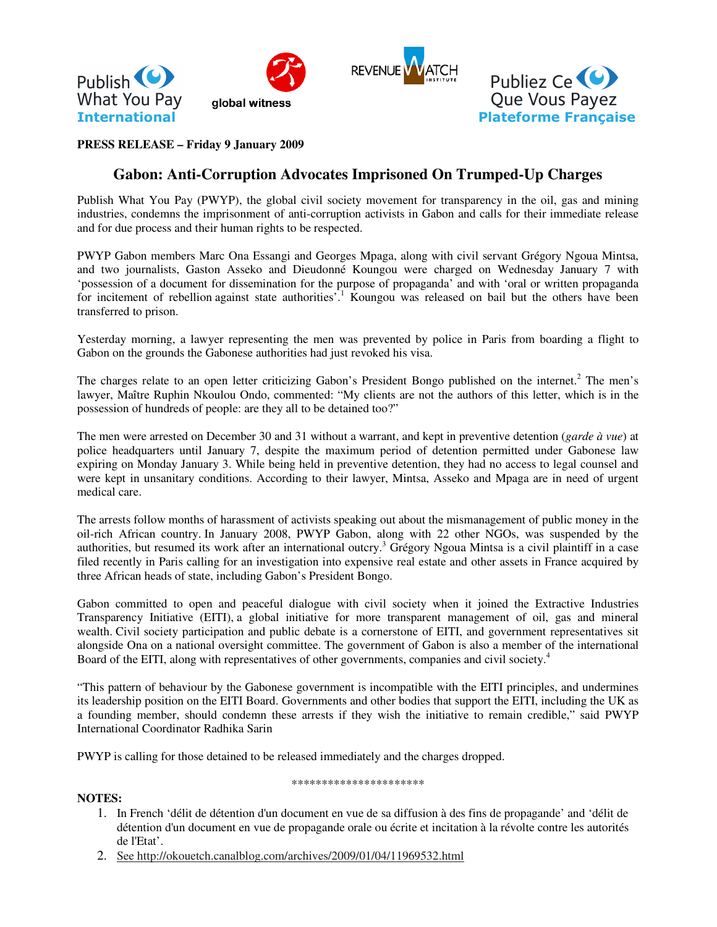

## **PRESS RELEASE – Friday 9 January 2009**

# **Gabon: Anti-Corruption Advocates Imprisoned On Trumped-Up Charges**

Publish What You Pay (PWYP), the global civil society movement for transparency in the oil, gas and mining industries, condemns the imprisonment of anti-corruption activists in Gabon and calls for their immediate release and for due process and their human rights to be respected.

PWYP Gabon members Marc Ona Essangi and Georges Mpaga, along with civil servant Grégory Ngoua Mintsa, and two journalists, Gaston Asseko and Dieudonné Koungou were charged on Wednesday January 7 with 'possession of a document for dissemination for the purpose of propaganda' and with 'oral or written propaganda for incitement of rebellion against state authorities'.<sup>1</sup> Koungou was released on bail but the others have been transferred to prison.

Yesterday morning, a lawyer representing the men was prevented by police in Paris from boarding a flight to Gabon on the grounds the Gabonese authorities had just revoked his visa.

The charges relate to an open letter criticizing Gabon's President Bongo published on the internet.<sup>2</sup> The men's lawyer, Maître Ruphin Nkoulou Ondo, commented: "My clients are not the authors of this letter, which is in the possession of hundreds of people: are they all to be detained too?"

The men were arrested on December 30 and 31 without a warrant, and kept in preventive detention (*garde à vue*) at police headquarters until January 7, despite the maximum period of detention permitted under Gabonese law expiring on Monday January 3. While being held in preventive detention, they had no access to legal counsel and were kept in unsanitary conditions. According to their lawyer, Mintsa, Asseko and Mpaga are in need of urgent medical care.

The arrests follow months of harassment of activists speaking out about the mismanagement of public money in the oil-rich African country. In January 2008, PWYP Gabon, along with 22 other NGOs, was suspended by the authorities, but resumed its work after an international outcry.<sup>3</sup> Grégory Ngoua Mintsa is a civil plaintiff in a case filed recently in Paris calling for an investigation into expensive real estate and other assets in France acquired by three African heads of state, including Gabon's President Bongo.

Gabon committed to open and peaceful dialogue with civil society when it joined the Extractive Industries Transparency Initiative (EITI), a global initiative for more transparent management of oil, gas and mineral wealth. Civil society participation and public debate is a cornerstone of EITI, and government representatives sit alongside Ona on a national oversight committee. The government of Gabon is also a member of the international Board of the EITI, along with representatives of other governments, companies and civil society.<sup>4</sup>

"This pattern of behaviour by the Gabonese government is incompatible with the EITI principles, and undermines its leadership position on the EITI Board. Governments and other bodies that support the EITI, including the UK as a founding member, should condemn these arrests if they wish the initiative to remain credible," said PWYP International Coordinator Radhika Sarin

PWYP is calling for those detained to be released immediately and the charges dropped.

#### \*\*\*\*\*\*\*\*\*\*\*\*\*\*\*\*\*\*\*\*\*\*

#### **NOTES:**

- 1. In French 'délit de détention d'un document en vue de sa diffusion à des fins de propagande' and 'délit de détention d'un document en vue de propagande orale ou écrite et incitation à la révolte contre les autorités de l'Etat'.
- 2. See http://okouetch.canalblog.com/archives/2009/01/04/11969532.html